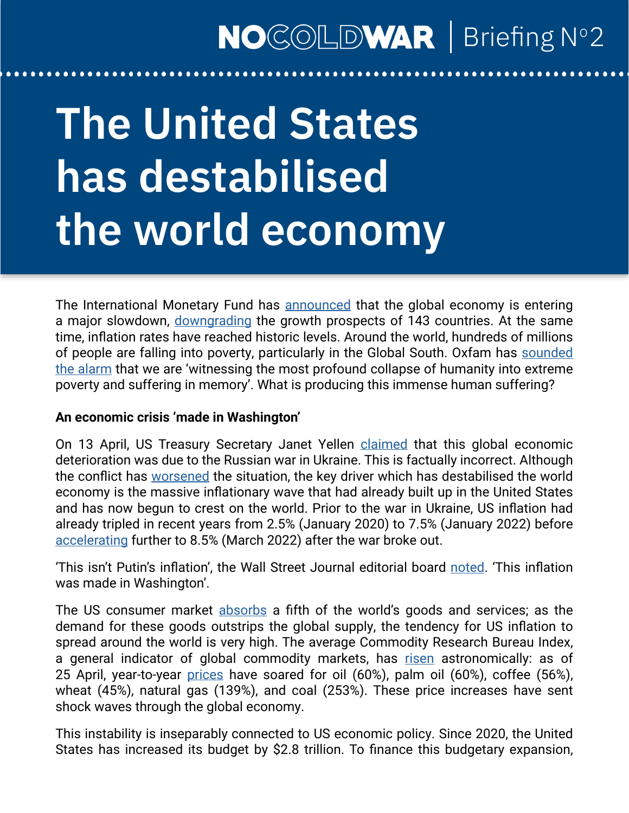### **NO**COLDWAR | Briefing N°2

# **The United States has destabilised the world economy**

The International Monetary Fund has [announced](https://www.imf.org/en/Publications/WEO/Issues/2022/04/19/world-economic-outlook-april-2022) that the global economy is entering a major slowdown, [downgrading](https://www.imf.org/en/News/Articles/2022/04/19/imf-md-kristalina-georgieva-remarks-tackling-food-insecurity-the-challenges-and-call-to-action) the growth prospects of 143 countries. At the same time, inflation rates have reached historic levels. Around the world, hundreds of millions of people are falling into poverty, particularly in the Global South. Oxfam has [sounded](https://www.theguardian.com/global-development/2022/apr/12/quarter-of-a-billion-people-now-face-extreme-poverty-warns-oxfam) [the alarm](https://www.theguardian.com/global-development/2022/apr/12/quarter-of-a-billion-people-now-face-extreme-poverty-warns-oxfam) that we are 'witnessing the most profound collapse of humanity into extreme poverty and suffering in memory'. What is producing this immense human suffering?

#### **An economic crisis 'made in Washington'**

On 13 April, US Treasury Secretary Janet Yellen [claimed](https://edition.cnn.com/2022/04/13/economy/yellen-russian-ukraine-atlantic-council/index.html) that this global economic deterioration was due to the Russian war in Ukraine. This is factually incorrect. Although the conflict has [worsened](https://nocoldwar.org/news/briefing-world-hunger-and-the-war-in-ukraine) the situation, the key driver which has destabilised the world economy is the massive inflationary wave that had already built up in the United States and has now begun to crest on the world. Prior to the war in Ukraine, US inflation had already tripled in recent years from 2.5% (January 2020) to 7.5% (January 2022) before [accelerating](https://tradingeconomics.com/united-states/inflation-cpi) further to 8.5% (March 2022) after the war broke out.

'This isn't Putin's inflation', the Wall Street Journal editorial board [noted](https://www.wsj.com/articles/it-isnt-vladimir-putins-inflation-white-house-joe-biden-consumer-price-index-energy-wages-11649792567). 'This inflation was made in Washington'.

The US consumer market [absorbs](https://www.investopedia.com/insights/worlds-top-economies/#toc-1-united-states) a fifth of the world's goods and services; as the demand for these goods outstrips the global supply, the tendency for US inflation to spread around the world is very high. The average Commodity Research Bureau Index, a general indicator of global commodity markets, has [risen](https://tradingeconomics.com/commodity/crb) astronomically: as of 25 April, year-to-year [prices](https://tradingeconomics.com/commodities) have soared for oil (60%), palm oil (60%), coffee (56%), wheat (45%), natural gas (139%), and coal (253%). These price increases have sent shock waves through the global economy.

This instability is inseparably connected to US economic policy. Since 2020, the United States has increased its budget by \$2.8 trillion. To finance this budgetary expansion,